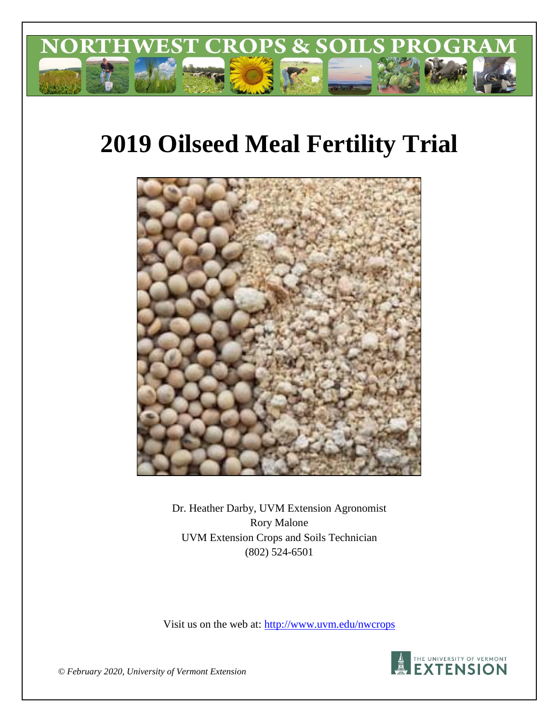

# **2019 Oilseed Meal Fertility Trial**



Dr. Heather Darby, UVM Extension Agronomist Rory Malone UVM Extension Crops and Soils Technician (802) 524-6501

Visit us on the web at: http://www.uvm.edu/nwcrops



*© February 2020, University of Vermont Extension*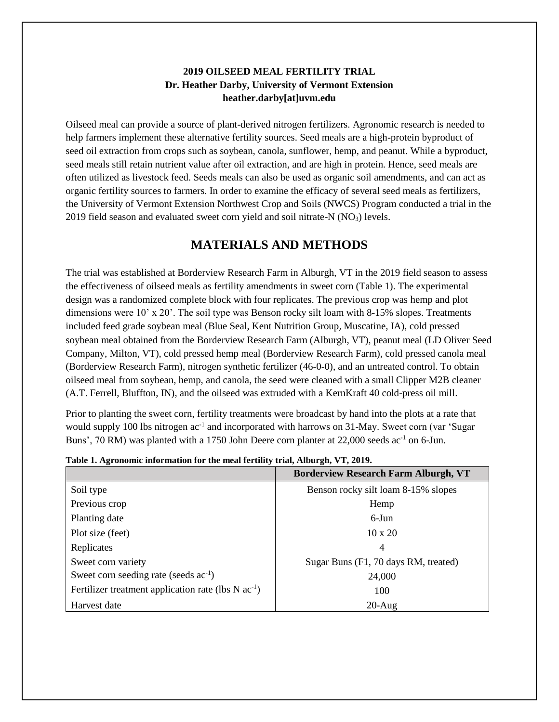#### **2019 OILSEED MEAL FERTILITY TRIAL Dr. Heather Darby, University of Vermont Extension heather.darby[at]uvm.edu**

Oilseed meal can provide a source of plant-derived nitrogen fertilizers. Agronomic research is needed to help farmers implement these alternative fertility sources. Seed meals are a high-protein byproduct of seed oil extraction from crops such as soybean, canola, sunflower, hemp, and peanut. While a byproduct, seed meals still retain nutrient value after oil extraction, and are high in protein. Hence, seed meals are often utilized as livestock feed. Seeds meals can also be used as organic soil amendments, and can act as organic fertility sources to farmers. In order to examine the efficacy of several seed meals as fertilizers, the University of Vermont Extension Northwest Crop and Soils (NWCS) Program conducted a trial in the 2019 field season and evaluated sweet corn yield and soil nitrate- $N(NO<sub>3</sub>)$  levels.

## **MATERIALS AND METHODS**

The trial was established at Borderview Research Farm in Alburgh, VT in the 2019 field season to assess the effectiveness of oilseed meals as fertility amendments in sweet corn (Table 1). The experimental design was a randomized complete block with four replicates. The previous crop was hemp and plot dimensions were 10' x 20'. The soil type was Benson rocky silt loam with 8-15% slopes. Treatments included feed grade soybean meal (Blue Seal, Kent Nutrition Group, Muscatine, IA), cold pressed soybean meal obtained from the Borderview Research Farm (Alburgh, VT), peanut meal (LD Oliver Seed Company, Milton, VT), cold pressed hemp meal (Borderview Research Farm), cold pressed canola meal (Borderview Research Farm), nitrogen synthetic fertilizer (46-0-0), and an untreated control. To obtain oilseed meal from soybean, hemp, and canola, the seed were cleaned with a small Clipper M2B cleaner (A.T. Ferrell, Bluffton, IN), and the oilseed was extruded with a KernKraft 40 cold-press oil mill.

Prior to planting the sweet corn, fertility treatments were broadcast by hand into the plots at a rate that would supply 100 lbs nitrogen ac<sup>-1</sup> and incorporated with harrows on 31-May. Sweet corn (var 'Sugar Buns', 70 RM) was planted with a 1750 John Deere corn planter at 22,000 seeds ac<sup>-1</sup> on 6-Jun.

|                                                                   | <b>Borderview Research Farm Alburgh, VT</b> |
|-------------------------------------------------------------------|---------------------------------------------|
| Soil type                                                         | Benson rocky silt loam 8-15% slopes         |
| Previous crop                                                     | Hemp                                        |
| Planting date                                                     | $6$ -Jun                                    |
| Plot size (feet)                                                  | $10 \times 20$                              |
| Replicates                                                        | 4                                           |
| Sweet corn variety                                                | Sugar Buns (F1, 70 days RM, treated)        |
| Sweet corn seeding rate (seeds $ac^{-1}$ )                        | 24,000                                      |
| Fertilizer treatment application rate (lbs $N$ ac <sup>-1</sup> ) | 100                                         |
| Harvest date                                                      | $20$ -Aug                                   |

**Table 1. Agronomic information for the meal fertility trial, Alburgh, VT, 2019.**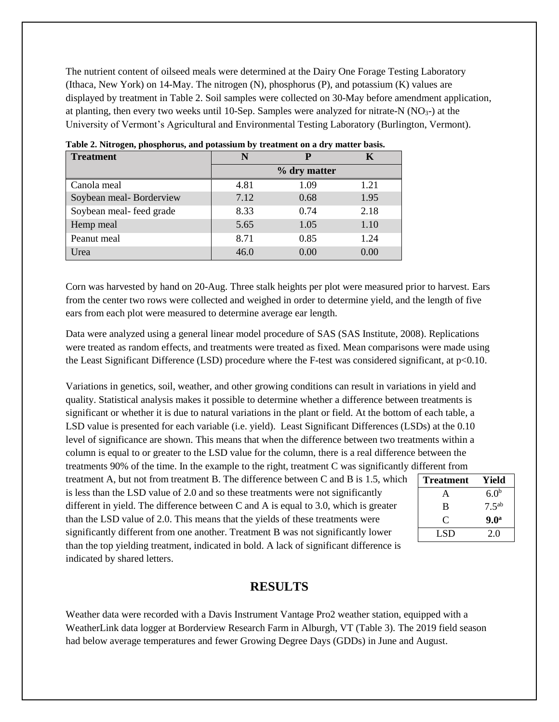The nutrient content of oilseed meals were determined at the Dairy One Forage Testing Laboratory (Ithaca, New York) on 14-May. The nitrogen (N), phosphorus (P), and potassium (K) values are displayed by treatment in Table 2. Soil samples were collected on 30-May before amendment application, at planting, then every two weeks until 10-Sep. Samples were analyzed for nitrate-N  $(NO<sub>3</sub>-)$  at the University of Vermont's Agricultural and Environmental Testing Laboratory (Burlington, Vermont).

| <b>Treatment</b>        |      |              |      |
|-------------------------|------|--------------|------|
|                         |      | % dry matter |      |
| Canola meal             | 4.81 | 1.09         | 1.21 |
| Soybean meal-Borderview | 7.12 | 0.68         | 1.95 |
| Soybean meal-feed grade | 8.33 | 0.74         | 2.18 |
| Hemp meal               | 5.65 | 1.05         | 1.10 |
| Peanut meal             | 8.71 | 0.85         | 1.24 |
| Jrea                    | 46.0 | 0.00         | 0.00 |

**Table 2. Nitrogen, phosphorus, and potassium by treatment on a dry matter basis.** 

Corn was harvested by hand on 20-Aug. Three stalk heights per plot were measured prior to harvest. Ears from the center two rows were collected and weighed in order to determine yield, and the length of five ears from each plot were measured to determine average ear length.

Data were analyzed using a general linear model procedure of SAS (SAS Institute, 2008). Replications were treated as random effects, and treatments were treated as fixed. Mean comparisons were made using the Least Significant Difference (LSD) procedure where the F-test was considered significant, at p<0.10.

Variations in genetics, soil, weather, and other growing conditions can result in variations in yield and quality. Statistical analysis makes it possible to determine whether a difference between treatments is significant or whether it is due to natural variations in the plant or field. At the bottom of each table, a LSD value is presented for each variable (i.e. yield). Least Significant Differences (LSDs) at the 0.10 level of significance are shown. This means that when the difference between two treatments within a column is equal to or greater to the LSD value for the column, there is a real difference between the treatments 90% of the time. In the example to the right, treatment C was significantly different from

treatment A, but not from treatment B. The difference between C and B is 1.5, which is less than the LSD value of 2.0 and so these treatments were not significantly different in yield. The difference between C and A is equal to 3.0, which is greater than the LSD value of 2.0. This means that the yields of these treatments were significantly different from one another. Treatment B was not significantly lower than the top yielding treatment, indicated in bold. A lack of significant difference is indicated by shared letters.

| <b>Treatment</b> | Yield             |
|------------------|-------------------|
| A                | 6.0 <sup>b</sup>  |
| B                | 7.5 <sup>ab</sup> |
| $\mathbf C$      | 9.0 <sup>a</sup>  |
| LSD              | 2.0               |

#### **RESULTS**

Weather data were recorded with a Davis Instrument Vantage Pro2 weather station, equipped with a WeatherLink data logger at Borderview Research Farm in Alburgh, VT (Table 3). The 2019 field season had below average temperatures and fewer Growing Degree Days (GDDs) in June and August.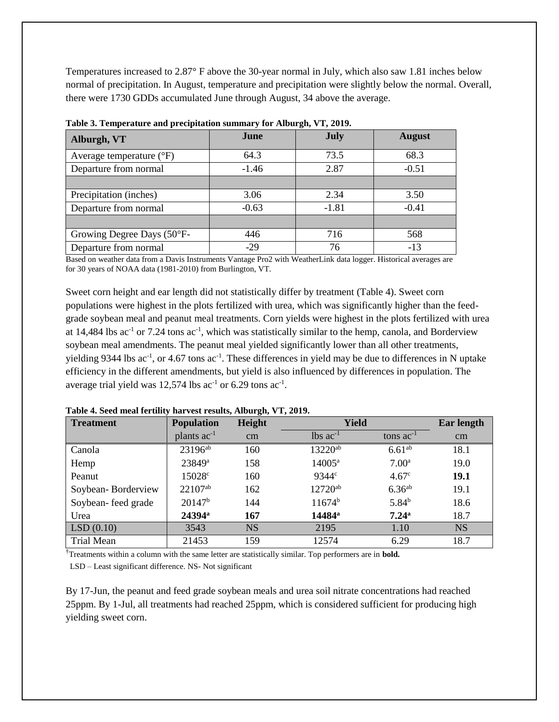Temperatures increased to 2.87° F above the 30-year normal in July, which also saw 1.81 inches below normal of precipitation. In August, temperature and precipitation were slightly below the normal. Overall, there were 1730 GDDs accumulated June through August, 34 above the average.

| Alburgh, VT                       | June    | July    | <b>August</b> |  |
|-----------------------------------|---------|---------|---------------|--|
| Average temperature $(^{\circ}F)$ | 64.3    | 73.5    | 68.3          |  |
| Departure from normal             | $-1.46$ | 2.87    | $-0.51$       |  |
|                                   |         |         |               |  |
| Precipitation (inches)            | 3.06    | 2.34    | 3.50          |  |
| Departure from normal             | $-0.63$ | $-1.81$ | $-0.41$       |  |
|                                   |         |         |               |  |
| Growing Degree Days (50°F-        | 446     | 716     | 568           |  |
| Departure from normal             | $-29$   | 76      | $-13$         |  |

**Table 3. Temperature and precipitation summary for Alburgh, VT, 2019.**

Based on weather data from a Davis Instruments Vantage Pro2 with WeatherLink data logger. Historical averages are for 30 years of NOAA data (1981-2010) from Burlington, VT.

Sweet corn height and ear length did not statistically differ by treatment (Table 4). Sweet corn populations were highest in the plots fertilized with urea, which was significantly higher than the feedgrade soybean meal and peanut meal treatments. Corn yields were highest in the plots fertilized with urea at 14,484 lbs  $ac^{-1}$  or 7.24 tons  $ac^{-1}$ , which was statistically similar to the hemp, canola, and Borderview soybean meal amendments. The peanut meal yielded significantly lower than all other treatments, yielding 9344 lbs  $ac^{-1}$ , or 4.67 tons  $ac^{-1}$ . These differences in yield may be due to differences in N uptake efficiency in the different amendments, but yield is also influenced by differences in population. The average trial yield was  $12,574$  lbs ac<sup>-1</sup> or 6.29 tons ac<sup>-1</sup>.

| <b>Treatment</b>   | <b>Population</b>   | Height    | <b>Yield</b>           | <b>Ear length</b>  |           |
|--------------------|---------------------|-----------|------------------------|--------------------|-----------|
|                    | plants $ac^{-1}$    | cm        | $lbs$ ac <sup>-1</sup> | tons $ac^{-1}$     | $\rm cm$  |
| Canola             | 23196 <sup>ab</sup> | 160       | 13220 <sup>ab</sup>    | 6.61 <sup>ab</sup> | 18.1      |
| Hemp               | 23849 <sup>a</sup>  | 158       | $14005^{\rm a}$        | $7.00^{\rm a}$     | 19.0      |
| Peanut             | 15028 <sup>c</sup>  | 160       | 9344 <sup>c</sup>      | 4.67 <sup>c</sup>  | 19.1      |
| Soybean-Borderview | $22107^{ab}$        | 162       | $12720^{ab}$           | 6.36 <sup>ab</sup> | 19.1      |
| Soybean-feed grade | $20147^b$           | 144       | $11674^b$              | $5.84^{b}$         | 18.6      |
| Urea               | 24394 <sup>a</sup>  | 167       | 14484 <sup>a</sup>     | $7.24^{\rm a}$     | 18.7      |
| LSD(0.10)          | 3543                | <b>NS</b> | 2195                   | 1.10               | <b>NS</b> |
| Trial Mean         | 21453               | 159       | 12574                  | 6.29               | 18.7      |

**Table 4. Seed meal fertility harvest results, Alburgh, VT, 2019.** 

†Treatments within a column with the same letter are statistically similar. Top performers are in **bold.** LSD – Least significant difference. NS- Not significant

By 17-Jun, the peanut and feed grade soybean meals and urea soil nitrate concentrations had reached 25ppm. By 1-Jul, all treatments had reached 25ppm, which is considered sufficient for producing high yielding sweet corn.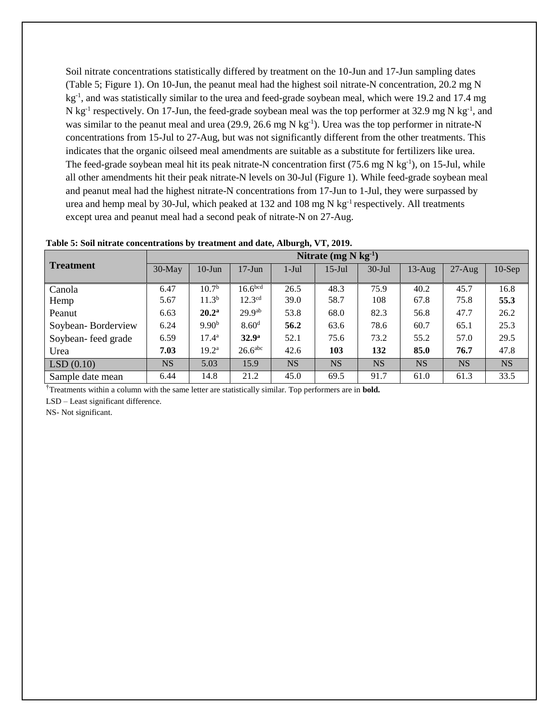Soil nitrate concentrations statistically differed by treatment on the 10-Jun and 17-Jun sampling dates (Table 5; Figure 1). On 10-Jun, the peanut meal had the highest soil nitrate-N concentration, 20.2 mg N kg<sup>-1</sup>, and was statistically similar to the urea and feed-grade soybean meal, which were 19.2 and 17.4 mg N kg<sup>-1</sup> respectively. On 17-Jun, the feed-grade soybean meal was the top performer at 32.9 mg N kg<sup>-1</sup>, and was similar to the peanut meal and urea  $(29.9, 26.6 \text{ mg N kg}^{-1})$ . Urea was the top performer in nitrate-N concentrations from 15-Jul to 27-Aug, but was not significantly different from the other treatments. This indicates that the organic oilseed meal amendments are suitable as a substitute for fertilizers like urea. The feed-grade soybean meal hit its peak nitrate-N concentration first  $(75.6 \text{ mg N kg}^{-1})$ , on 15-Jul, while all other amendments hit their peak nitrate-N levels on 30-Jul (Figure 1). While feed-grade soybean meal and peanut meal had the highest nitrate-N concentrations from 17-Jun to 1-Jul, they were surpassed by urea and hemp meal by 30-Jul, which peaked at 132 and 108 mg N kg<sup>-1</sup> respectively. All treatments except urea and peanut meal had a second peak of nitrate-N on 27-Aug.

|                    | Nitrate $(mg N kg-1)$ |                   |                       |           |           |            |           |           |           |
|--------------------|-----------------------|-------------------|-----------------------|-----------|-----------|------------|-----------|-----------|-----------|
| <b>Treatment</b>   | $30$ -May             | $10$ -Jun         | $17 - Jun$            | $1-Jul$   | $15$ -Jul | $30 -$ Jul | $13$ -Aug | $27-Aug$  | $10-Sep$  |
| Canola             | 6.47                  | 10.7 <sup>b</sup> | 16.6 <sup>bcd</sup>   | 26.5      | 48.3      | 75.9       | 40.2      | 45.7      | 16.8      |
| Hemp               | 5.67                  | 11.3 <sup>b</sup> | 12.3 <sup>cd</sup>    | 39.0      | 58.7      | 108        | 67.8      | 75.8      | 55.3      |
| Peanut             | 6.63                  | 20.2 <sup>a</sup> | 29.9 <sup>ab</sup>    | 53.8      | 68.0      | 82.3       | 56.8      | 47.7      | 26.2      |
| Soybean-Borderview | 6.24                  | 9.90 <sup>b</sup> | 8.60 <sup>d</sup>     | 56.2      | 63.6      | 78.6       | 60.7      | 65.1      | 25.3      |
| Soybean-feed grade | 6.59                  | $17.4^{\rm a}$    | 32.9 <sup>a</sup>     | 52.1      | 75.6      | 73.2       | 55.2      | 57.0      | 29.5      |
| Urea               | 7.03                  | 19.2 <sup>a</sup> | $26.6$ <sup>abc</sup> | 42.6      | 103       | 132        | 85.0      | 76.7      | 47.8      |
| LSD(0.10)          | <b>NS</b>             | 5.03              | 15.9                  | <b>NS</b> | <b>NS</b> | <b>NS</b>  | <b>NS</b> | <b>NS</b> | <b>NS</b> |
| Sample date mean   | 6.44                  | 14.8              | 21.2                  | 45.0      | 69.5      | 91.7       | 61.0      | 61.3      | 33.5      |

†Treatments within a column with the same letter are statistically similar. Top performers are in **bold.**

LSD – Least significant difference.

NS- Not significant.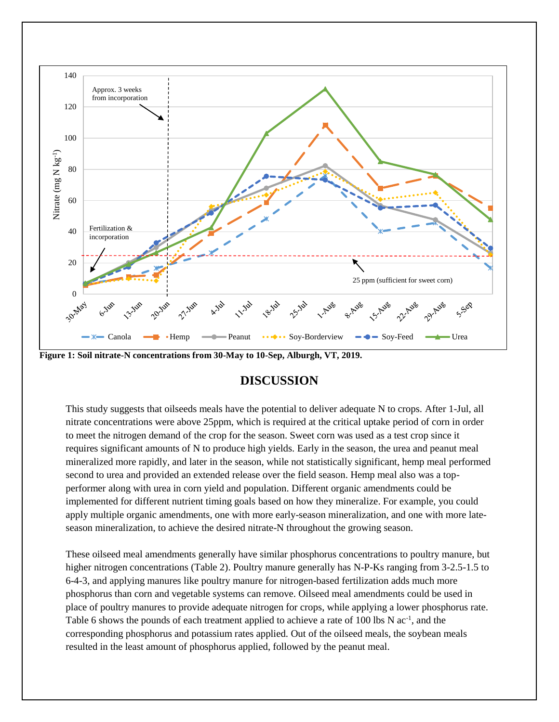

**Figure 1: Soil nitrate-N concentrations from 30-May to 10-Sep, Alburgh, VT, 2019.**

### **DISCUSSION**

This study suggests that oilseeds meals have the potential to deliver adequate N to crops. After 1-Jul, all nitrate concentrations were above 25ppm, which is required at the critical uptake period of corn in order to meet the nitrogen demand of the crop for the season. Sweet corn was used as a test crop since it requires significant amounts of N to produce high yields. Early in the season, the urea and peanut meal mineralized more rapidly, and later in the season, while not statistically significant, hemp meal performed second to urea and provided an extended release over the field season. Hemp meal also was a topperformer along with urea in corn yield and population. Different organic amendments could be implemented for different nutrient timing goals based on how they mineralize. For example, you could apply multiple organic amendments, one with more early-season mineralization, and one with more lateseason mineralization, to achieve the desired nitrate-N throughout the growing season.

These oilseed meal amendments generally have similar phosphorus concentrations to poultry manure, but higher nitrogen concentrations (Table 2). Poultry manure generally has N-P-Ks ranging from 3-2.5-1.5 to 6-4-3, and applying manures like poultry manure for nitrogen-based fertilization adds much more phosphorus than corn and vegetable systems can remove. Oilseed meal amendments could be used in place of poultry manures to provide adequate nitrogen for crops, while applying a lower phosphorus rate. Table 6 shows the pounds of each treatment applied to achieve a rate of 100 lbs N ac<sup>-1</sup>, and the corresponding phosphorus and potassium rates applied. Out of the oilseed meals, the soybean meals resulted in the least amount of phosphorus applied, followed by the peanut meal.